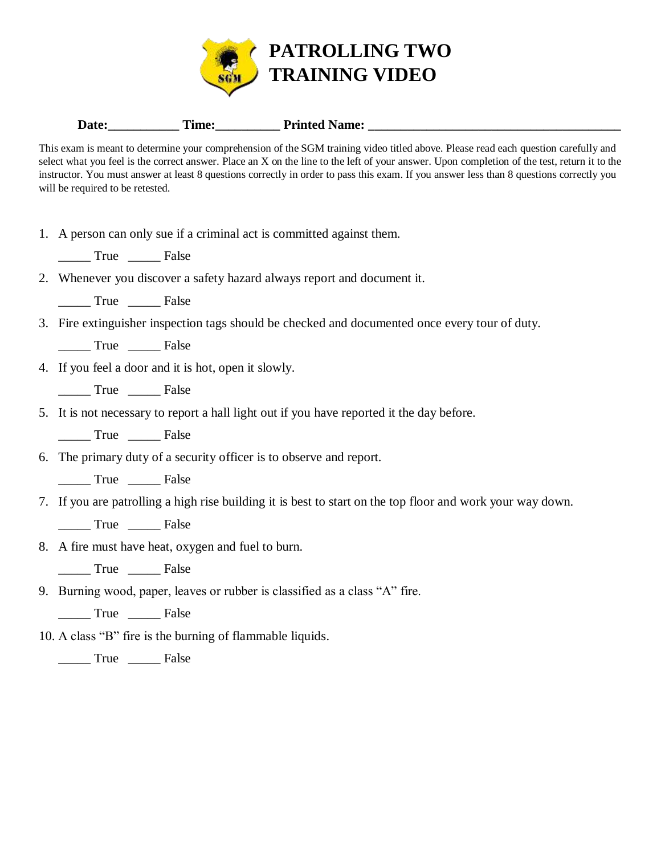

## Date: Time: Time: Printed Name:

This exam is meant to determine your comprehension of the SGM training video titled above. Please read each question carefully and select what you feel is the correct answer. Place an X on the line to the left of your answer. Upon completion of the test, return it to the instructor. You must answer at least 8 questions correctly in order to pass this exam. If you answer less than 8 questions correctly you will be required to be retested.

- 1. A person can only sue if a criminal act is committed against them.
	- \_\_\_\_\_ True \_\_\_\_\_ False
- 2. Whenever you discover a safety hazard always report and document it.
	- \_\_\_\_\_ True \_\_\_\_\_ False
- 3. Fire extinguisher inspection tags should be checked and documented once every tour of duty.
	- True False
- 4. If you feel a door and it is hot, open it slowly.
	- \_\_\_\_\_ True \_\_\_\_\_ False
- 5. It is not necessary to report a hall light out if you have reported it the day before.
	- True False
- 6. The primary duty of a security officer is to observe and report.
	- \_\_\_\_\_ True \_\_\_\_\_ False
- 7. If you are patrolling a high rise building it is best to start on the top floor and work your way down.
	- \_\_\_\_\_ True \_\_\_\_\_ False
- 8. A fire must have heat, oxygen and fuel to burn.
	- \_\_\_\_\_ True \_\_\_\_\_ False
- 9. Burning wood, paper, leaves or rubber is classified as a class "A" fire.

\_\_\_\_\_ True \_\_\_\_\_ False

- 10. A class "B" fire is the burning of flammable liquids.
	- \_\_\_\_\_ True \_\_\_\_\_ False